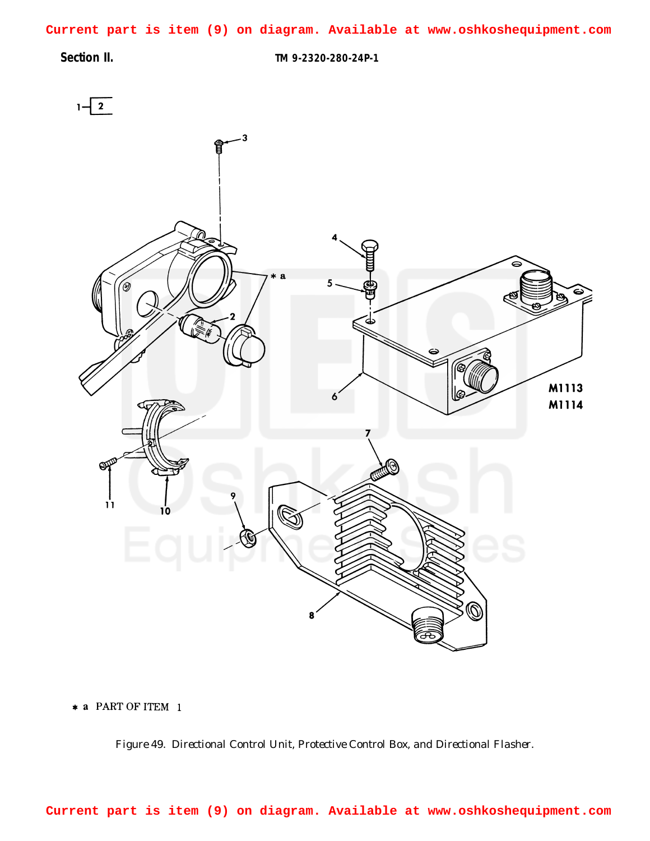<span id="page-0-0"></span>**Current part is item (9) on diagram. Available at www.oshkoshequipment.com**

**Section II. TM 9-2320-280-24P-1**



\* a PART OF ITEM 1

*Figure 49. Directional Control Unit, Protective Control Box, and Directional Flasher.*